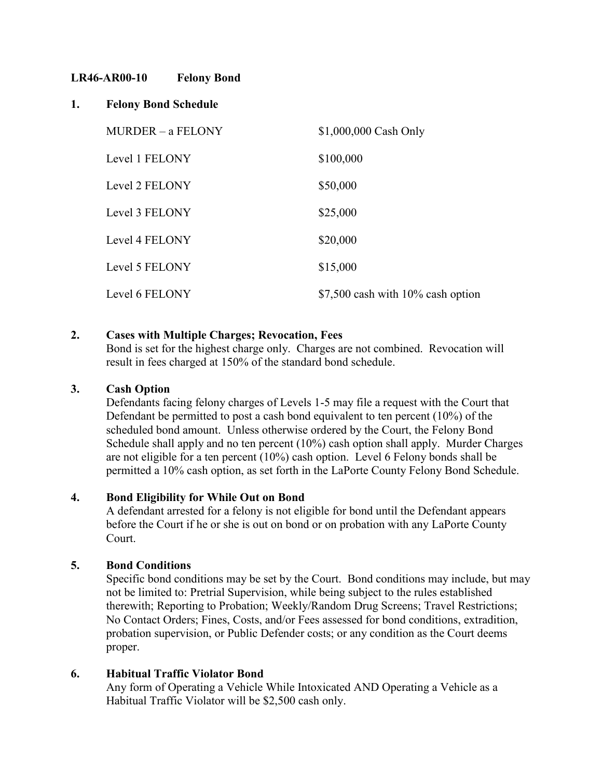# **LR46-AR00-10 Felony Bond**

# **1. Felony Bond Schedule**

| MURDER - a FELONY | \$1,000,000 Cash Only              |
|-------------------|------------------------------------|
| Level 1 FELONY    | \$100,000                          |
| Level 2 FELONY    | \$50,000                           |
| Level 3 FELONY    | \$25,000                           |
| Level 4 FELONY    | \$20,000                           |
| Level 5 FELONY    | \$15,000                           |
| Level 6 FELONY    | $$7,500$ cash with 10% cash option |

# **2. Cases with Multiple Charges; Revocation, Fees**

Bond is set for the highest charge only. Charges are not combined. Revocation will result in fees charged at 150% of the standard bond schedule.

# **3. Cash Option**

Defendants facing felony charges of Levels 1-5 may file a request with the Court that Defendant be permitted to post a cash bond equivalent to ten percent (10%) of the scheduled bond amount. Unless otherwise ordered by the Court, the Felony Bond Schedule shall apply and no ten percent (10%) cash option shall apply. Murder Charges are not eligible for a ten percent (10%) cash option. Level 6 Felony bonds shall be permitted a 10% cash option, as set forth in the LaPorte County Felony Bond Schedule.

# **4. Bond Eligibility for While Out on Bond**

A defendant arrested for a felony is not eligible for bond until the Defendant appears before the Court if he or she is out on bond or on probation with any LaPorte County Court.

# **5. Bond Conditions**

Specific bond conditions may be set by the Court. Bond conditions may include, but may not be limited to: Pretrial Supervision, while being subject to the rules established therewith; Reporting to Probation; Weekly/Random Drug Screens; Travel Restrictions; No Contact Orders; Fines, Costs, and/or Fees assessed for bond conditions, extradition, probation supervision, or Public Defender costs; or any condition as the Court deems proper.

# **6. Habitual Traffic Violator Bond**

Any form of Operating a Vehicle While Intoxicated AND Operating a Vehicle as a Habitual Traffic Violator will be \$2,500 cash only.